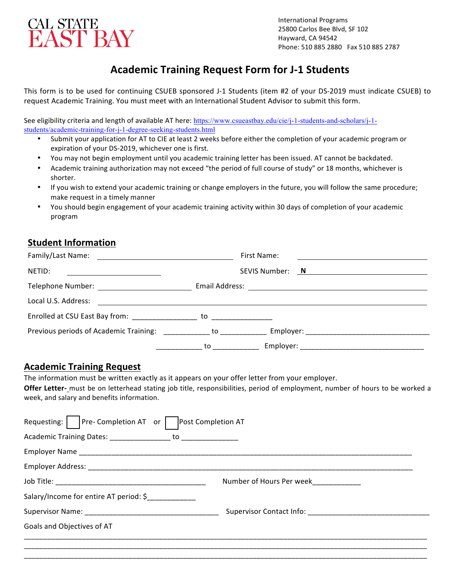

# **Academic Training Request Form for J-1 Students**

This form is to be used for continuing CSUEB sponsored J-1 Students (item #2 of your DS-2019 must indicate CSUEB) to request Academic Training. You must meet with an International Student Advisor to submit this form.

See eligibility criteria and length of available AT here: https://www.csueastbay.edu/cie/j-1-students-and-scholars/j-1students/academic-training-for-j-1-degree-seeking-students.html

- Submit your application for AT to CIE at least 2 weeks before either the completion of your academic program or expiration of your DS-2019, whichever one is first.
- You may not begin employment until you academic training letter has been issued. AT cannot be backdated.
- Academic training authorization may not exceed "the period of full course of study" or 18 months, whichever is shorter.
- If you wish to extend your academic training or change employers in the future, you will follow the same procedure; make request in a timely manner
- You should begin engagement of your academic training activity within 30 days of completion of your academic program

# **Student Information**

|                                                                                                                                                                                                                                      | First Name:<br><u> 1989 - Johann Barn, mars ann an t-Amhain ann an t-Amhain an t-Amhain ann an t-Amhain an t-Amhain ann an t-A</u> |
|--------------------------------------------------------------------------------------------------------------------------------------------------------------------------------------------------------------------------------------|------------------------------------------------------------------------------------------------------------------------------------|
| NETID:<br><u> 1980 - Andrea Britain, politik eta politik eta politik eta politik eta politik eta politik eta politik eta p</u>                                                                                                       | SEVIS Number: N                                                                                                                    |
|                                                                                                                                                                                                                                      |                                                                                                                                    |
| Local U.S. Address: <u>Contract of the Contract of the Contract of the Contract of the Contract of the Contract of the Contract of the Contract of the Contract of the Contract of the Contract of the Contract of the Contract </u> |                                                                                                                                    |
| Enrolled at CSU East Bay from: to to the total and the state of the state of the state of the state of the state of the state of the state of the state of the state of the state of the state of the state of the state of th       |                                                                                                                                    |
| Previous periods of Academic Training: The control of the control of the previous periods of Academic Training                                                                                                                       |                                                                                                                                    |
|                                                                                                                                                                                                                                      | to                                                                                                                                 |

## **Academic Training Request**

The information must be written exactly as it appears on your offer letter from your employer.

Offer Letter- must be on letterhead stating job title, responsibilities, period of employment, number of hours to be worked a week, and salary and benefits information.

| Requesting: $\vert \vert$ Pre-Completion AT or $\vert$<br>Post Completion AT |                          |
|------------------------------------------------------------------------------|--------------------------|
|                                                                              |                          |
|                                                                              |                          |
|                                                                              |                          |
|                                                                              | Number of Hours Per week |
| Salary/Income for entire AT period: \$                                       |                          |
|                                                                              |                          |
| Goals and Objectives of AT                                                   |                          |
|                                                                              |                          |
|                                                                              |                          |